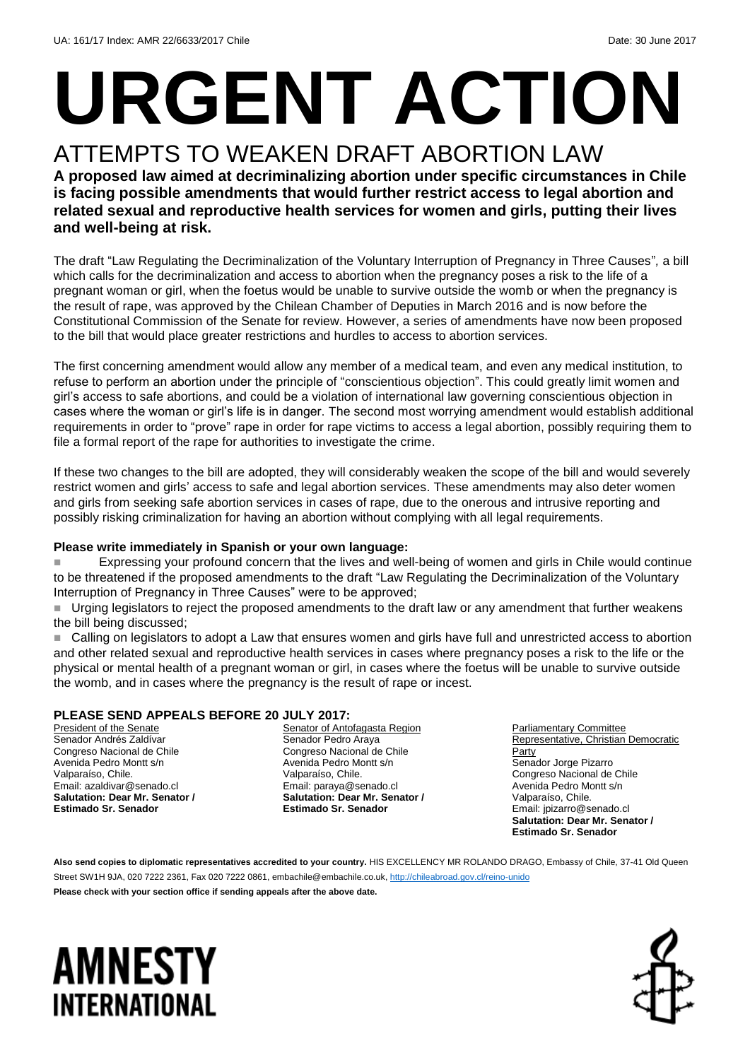# **URGENT ACTION** ATTEMPTS TO WEAKEN DRAFT ABORTION LAW

#### **A proposed law aimed at decriminalizing abortion under specific circumstances in Chile is facing possible amendments that would further restrict access to legal abortion and related sexual and reproductive health services for women and girls, putting their lives and well-being at risk.**

The draft "Law Regulating the Decriminalization of the Voluntary Interruption of Pregnancy in Three Causes"*,* a bill which calls for the decriminalization and access to abortion when the pregnancy poses a risk to the life of a pregnant woman or girl, when the foetus would be unable to survive outside the womb or when the pregnancy is the result of rape, was approved by the Chilean Chamber of Deputies in March 2016 and is now before the Constitutional Commission of the Senate for review. However, a series of amendments have now been proposed to the bill that would place greater restrictions and hurdles to access to abortion services.

The first concerning amendment would allow any member of a medical team, and even any medical institution, to refuse to perform an abortion under the principle of "conscientious objection". This could greatly limit women and girl's access to safe abortions, and could be a violation of international law governing conscientious objection in cases where the woman or girl's life is in danger. The second most worrying amendment would establish additional requirements in order to "prove" rape in order for rape victims to access a legal abortion, possibly requiring them to file a formal report of the rape for authorities to investigate the crime.

If these two changes to the bill are adopted, they will considerably weaken the scope of the bill and would severely restrict women and girls' access to safe and legal abortion services. These amendments may also deter women and girls from seeking safe abortion services in cases of rape, due to the onerous and intrusive reporting and possibly risking criminalization for having an abortion without complying with all legal requirements.

#### **Please write immediately in Spanish or your own language:**

 Expressing your profound concern that the lives and well-being of women and girls in Chile would continue to be threatened if the proposed amendments to the draft "Law Regulating the Decriminalization of the Voluntary Interruption of Pregnancy in Three Causes" were to be approved;

 Urging legislators to reject the proposed amendments to the draft law or any amendment that further weakens the bill being discussed;

■ Calling on legislators to adopt a Law that ensures women and girls have full and unrestricted access to abortion and other related sexual and reproductive health services in cases where pregnancy poses a risk to the life or the physical or mental health of a pregnant woman or girl, in cases where the foetus will be unable to survive outside the womb, and in cases where the pregnancy is the result of rape or incest.

#### **PLEASE SEND APPEALS BEFORE 20 JULY 2017:**

President of the Senate Senador Andrés Zaldívar Congreso Nacional de Chile Avenida Pedro Montt s/n Valparaíso, Chile. Email: azaldivar@senado.cl **Salutation: Dear Mr. Senator / Estimado Sr. Senador**

Senator of Antofagasta Region Senador Pedro Araya Congreso Nacional de Chile Avenida Pedro Montt s/n Valparaíso, Chile. Email: paraya@senado.cl **Salutation: Dear Mr. Senator / Estimado Sr. Senador**

Parliamentary Committee Representative, Christian Democratic **Party** Senador Jorge Pizarro Congreso Nacional de Chile Avenida Pedro Montt s/n Valparaíso, Chile. Email: jpizarro@senado.cl **Salutation: Dear Mr. Senator / Estimado Sr. Senador**

Also send copies to diplomatic representatives accredited to your country. HIS EXCELLENCY MR ROLANDO DRAGO, Embassy of Chile, 37-41 Old Queen Street SW1H 9JA, 020 7222 2361, Fax 020 7222 0861[, embachile@embachile.co.uk,](mailto:embachile@embachile.co.uk)<http://chileabroad.gov.cl/reino-unido>

**Please check with your section office if sending appeals after the above date.**